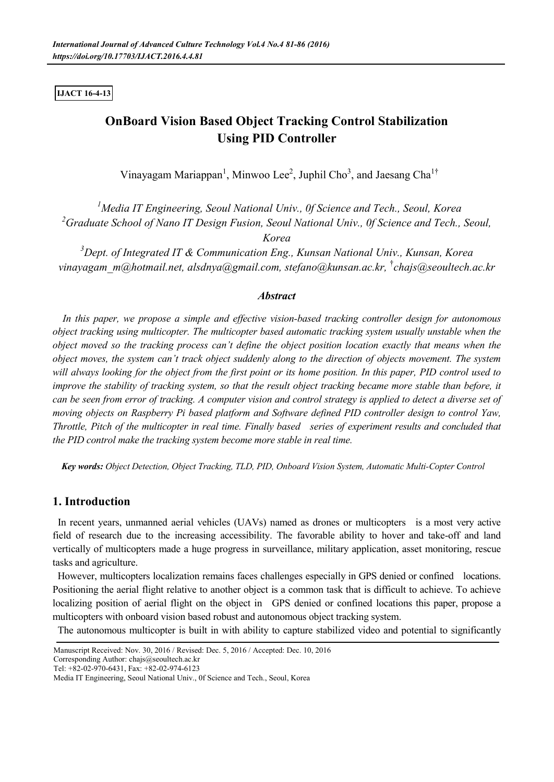### **IJACT 16-4-13**

# **OnBoard Vision Based Object Tracking Control Stabilization Using PID Controller**

Vinayagam Mariappan<sup>1</sup>, Minwoo Lee<sup>2</sup>, Juphil Cho<sup>3</sup>, and Jaesang Cha<sup>1†</sup>

*<sup>1</sup>Media IT Engineering, Seoul National Univ., 0f Science and Tech., Seoul, Korea <sup>2</sup>Graduate School of Nano IT Design Fusion, Seoul National Univ., 0f Science and Tech., Seoul,* 

*Korea*

*<sup>3</sup>Dept. of Integrated IT & Communication Eng., Kunsan National Univ., Kunsan, Korea vinayagam\_m@hotmail.net, alsdnya@gmail.com, stefano@kunsan.ac.kr,* †*chajs@seoultech.ac.kr*

# *Abstract*

*In this paper, we propose a simple and effective vision-based tracking controller design for autonomous object tracking using multicopter. The multicopter based automatic tracking system usually unstable when the object moved so the tracking process can't define the object position location exactly that means when the object moves, the system can't track object suddenly along to the direction of objects movement. The system will always looking for the object from the first point or its home position. In this paper, PID control used to improve the stability of tracking system, so that the result object tracking became more stable than before, it can be seen from error of tracking. A computer vision and control strategy is applied to detect a diverse set of moving objects on Raspberry Pi based platform and Software defined PID controller design to control Yaw, Throttle, Pitch of the multicopter in real time. Finally based series of experiment results and concluded that the PID control make the tracking system become more stable in real time.*

*Key words: Object Detection, Object Tracking, TLD, PID, Onboard Vision System, Automatic Multi-Copter Control*

# **1. Introduction**

In recent years, unmanned aerial vehicles (UAVs) named as drones or multicopters is a most very active field of research due to the increasing accessibility. The favorable ability to hover and take-off and land vertically of multicopters made a huge progress in surveillance, military application, asset monitoring, rescue tasks and agriculture.

However, multicopters localization remains faces challenges especially in GPS denied or confined locations. Positioning the aerial flight relative to another object is a common task that is difficult to achieve. To achieve localizing position of aerial flight on the object in GPS denied or confined locations this paper, propose a multicopters with onboard vision based robust and autonomous object tracking system.

The autonomous multicopter is built in with ability to capture stabilized video and potential to significantly

Corresponding Author: chajs@seoultech.ac.kr Tel: +82-02-970-6431, Fax: +82-02-974-6123

Manuscript Received: Nov. 30, 2016 / Revised: Dec. 5, 2016 / Accepted: Dec. 10, 2016

Media IT Engineering, Seoul National Univ., 0f Science and Tech., Seoul, Korea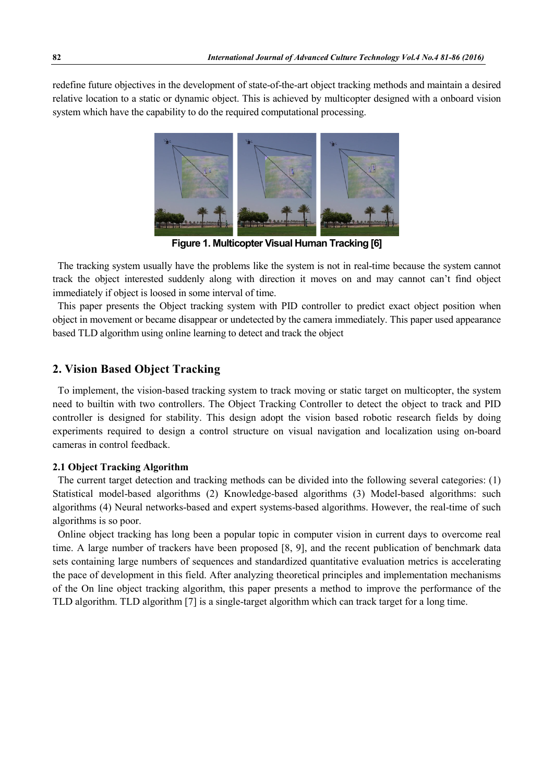redefine future objectives in the development of state-of-the-art object tracking methods and maintain a desired relative location to a static or dynamic object. This is achieved by multicopter designed with a onboard vision system which have the capability to do the required computational processing.



**Figure 1. Multicopter Visual Human Tracking [6]**

The tracking system usually have the problems like the system is not in real-time because the system cannot track the object interested suddenly along with direction it moves on and may cannot can't find object immediately if object is loosed in some interval of time.

This paper presents the Object tracking system with PID controller to predict exact object position when object in movement or became disappear or undetected by the camera immediately. This paper used appearance based TLD algorithm using online learning to detect and track the object

# **2. Vision Based Object Tracking**

To implement, the vision-based tracking system to track moving or static target on multicopter, the system need to builtin with two controllers. The Object Tracking Controller to detect the object to track and PID controller is designed for stability. This design adopt the vision based robotic research fields by doing experiments required to design a control structure on visual navigation and localization using on-board cameras in control feedback.

### **2.1 Object Tracking Algorithm**

The current target detection and tracking methods can be divided into the following several categories: (1) Statistical model-based algorithms (2) Knowledge-based algorithms (3) Model-based algorithms: such algorithms (4) Neural networks-based and expert systems-based algorithms. However, the real-time of such algorithms is so poor.

Online object tracking has long been a popular topic in computer vision in current days to overcome real time. A large number of trackers have been proposed [8, 9], and the recent publication of benchmark data sets containing large numbers of sequences and standardized quantitative evaluation metrics is accelerating the pace of development in this field. After analyzing theoretical principles and implementation mechanisms of the On line object tracking algorithm, this paper presents a method to improve the performance of the TLD algorithm. TLD algorithm [7] is a single-target algorithm which can track target for a long time.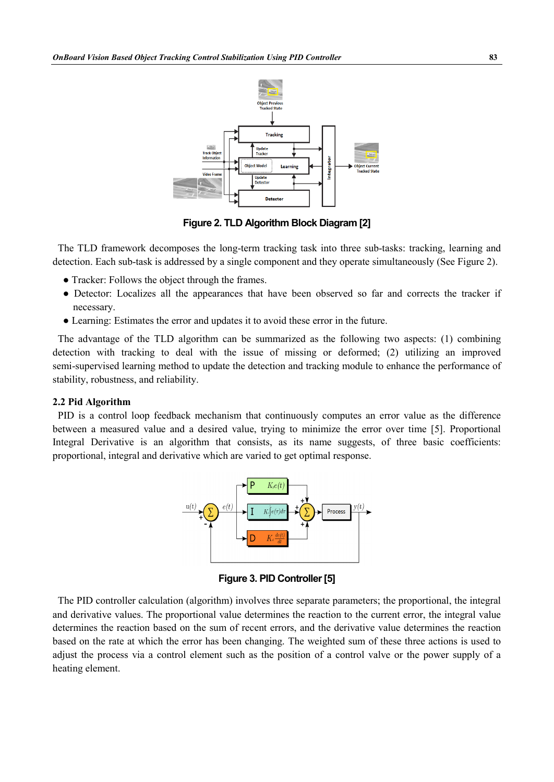

**Figure 2. TLD Algorithm Block Diagram [2]**

The TLD framework decomposes the long-term tracking task into three sub-tasks: tracking, learning and detection. Each sub-task is addressed by a single component and they operate simultaneously (See Figure 2).

- Tracker: Follows the object through the frames.
- Detector: Localizes all the appearances that have been observed so far and corrects the tracker if necessary.
- Learning: Estimates the error and updates it to avoid these error in the future.

The advantage of the TLD algorithm can be summarized as the following two aspects: (1) combining detection with tracking to deal with the issue of missing or deformed; (2) utilizing an improved semi-supervised learning method to update the detection and tracking module to enhance the performance of stability, robustness, and reliability.

#### **2.2 Pid Algorithm**

PID is a control loop feedback mechanism that continuously computes an error value as the difference between a measured value and a desired value, trying to minimize the error over time [5]. Proportional Integral Derivative is an algorithm that consists, as its name suggests, of three basic coefficients: proportional, integral and derivative which are varied to get optimal response.



**Figure 3. PID Controller [5]**

The PID controller calculation (algorithm) involves three separate parameters; the proportional, the integral and derivative values. The proportional value determines the reaction to the current error, the integral value determines the reaction based on the sum of recent errors, and the derivative value determines the reaction based on the rate at which the error has been changing. The weighted sum of these three actions is used to adjust the process via a control element such as the position of a control valve or the power supply of a heating element.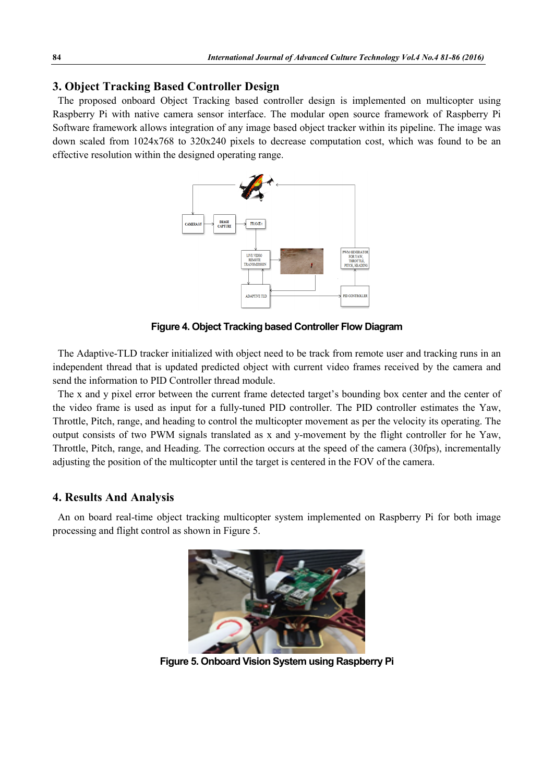# **3. Object Tracking Based Controller Design**

The proposed onboard Object Tracking based controller design is implemented on multicopter using Raspberry Pi with native camera sensor interface. The modular open source framework of Raspberry Pi Software framework allows integration of any image based object tracker within its pipeline. The image was down scaled from 1024x768 to 320x240 pixels to decrease computation cost, which was found to be an effective resolution within the designed operating range.



**Figure 4. Object Tracking based Controller Flow Diagram**

The Adaptive-TLD tracker initialized with object need to be track from remote user and tracking runs in an independent thread that is updated predicted object with current video frames received by the camera and send the information to PID Controller thread module.

The x and y pixel error between the current frame detected target's bounding box center and the center of the video frame is used as input for a fully-tuned PID controller. The PID controller estimates the Yaw, Throttle, Pitch, range, and heading to control the multicopter movement as per the velocity its operating. The output consists of two PWM signals translated as x and y-movement by the flight controller for he Yaw, Throttle, Pitch, range, and Heading. The correction occurs at the speed of the camera (30fps), incrementally adjusting the position of the multicopter until the target is centered in the FOV of the camera.

### **4. Results And Analysis**

An on board real-time object tracking multicopter system implemented on Raspberry Pi for both image processing and flight control as shown in Figure 5.



**Figure 5. Onboard Vision System using Raspberry Pi**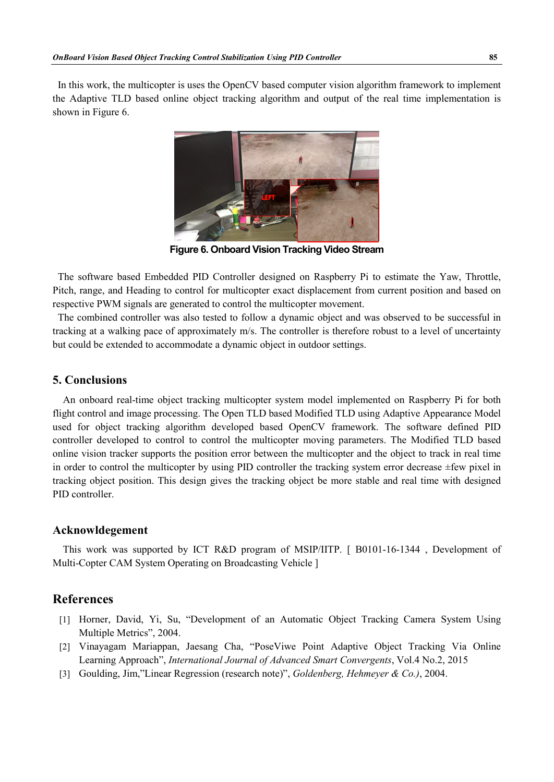In this work, the multicopter is uses the OpenCV based computer vision algorithm framework to implement the Adaptive TLD based online object tracking algorithm and output of the real time implementation is shown in Figure 6.



**Figure 6. Onboard Vision Tracking Video Stream**

The software based Embedded PID Controller designed on Raspberry Pi to estimate the Yaw, Throttle, Pitch, range, and Heading to control for multicopter exact displacement from current position and based on respective PWM signals are generated to control the multicopter movement.

The combined controller was also tested to follow a dynamic object and was observed to be successful in tracking at a walking pace of approximately m/s. The controller is therefore robust to a level of uncertainty but could be extended to accommodate a dynamic object in outdoor settings.

### **5. Conclusions**

An onboard real-time object tracking multicopter system model implemented on Raspberry Pi for both flight control and image processing. The Open TLD based Modified TLD using Adaptive Appearance Model used for object tracking algorithm developed based OpenCV framework. The software defined PID controller developed to control to control the multicopter moving parameters. The Modified TLD based online vision tracker supports the position error between the multicopter and the object to track in real time in order to control the multicopter by using PID controller the tracking system error decrease  $\pm$ few pixel in tracking object position. This design gives the tracking object be more stable and real time with designed PID controller.

### **Acknowldegement**

This work was supported by ICT R&D program of MSIP/IITP. [ B0101-16-1344 , Development of Multi-Copter CAM System Operating on Broadcasting Vehicle ]

# **References**

- [1] Horner, David, Yi, Su, "Development of an Automatic Object Tracking Camera System Using Multiple Metrics", 2004.
- [2] Vinayagam Mariappan, Jaesang Cha, "PoseViwe Point Adaptive Object Tracking Via Online Learning Approach", *International Journal of Advanced Smart Convergents*, Vol.4 No.2, 2015
- [3] Goulding, Jim,"Linear Regression (research note)", *Goldenberg, Hehmeyer & Co.)*, 2004.